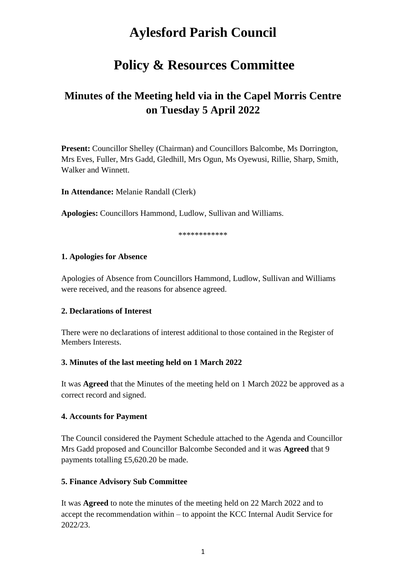# **Aylesford Parish Council**

## **Policy & Resources Committee**

## **Minutes of the Meeting held via in the Capel Morris Centre on Tuesday 5 April 2022**

**Present:** Councillor Shelley (Chairman) and Councillors Balcombe, Ms Dorrington, Mrs Eves, Fuller, Mrs Gadd, Gledhill, Mrs Ogun, Ms Oyewusi, Rillie, Sharp, Smith, Walker and Winnett.

**In Attendance:** Melanie Randall (Clerk)

**Apologies:** Councillors Hammond, Ludlow, Sullivan and Williams.

\*\*\*\*\*\*\*\*\*\*\*\*

#### **1. Apologies for Absence**

Apologies of Absence from Councillors Hammond, Ludlow, Sullivan and Williams were received, and the reasons for absence agreed.

#### **2. Declarations of Interest**

There were no declarations of interest additional to those contained in the Register of Members Interests.

## **3. Minutes of the last meeting held on 1 March 2022**

It was **Agreed** that the Minutes of the meeting held on 1 March 2022 be approved as a correct record and signed.

## **4. Accounts for Payment**

The Council considered the Payment Schedule attached to the Agenda and Councillor Mrs Gadd proposed and Councillor Balcombe Seconded and it was **Agreed** that 9 payments totalling £5,620.20 be made.

## **5. Finance Advisory Sub Committee**

It was **Agreed** to note the minutes of the meeting held on 22 March 2022 and to accept the recommendation within – to appoint the KCC Internal Audit Service for 2022/23.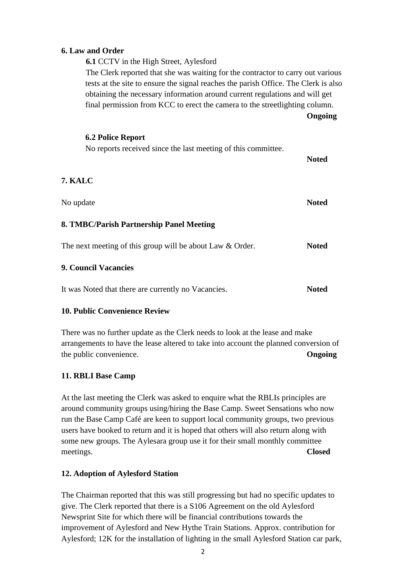## **6. Law and Order**

**6.1** CCTV in the High Street, Aylesford

The Clerk reported that she was waiting for the contractor to carry out various tests at the site to ensure the signal reaches the parish Office. The Clerk is also obtaining the necessary information around current regulations and will get final permission from KCC to erect the camera to the streetlighting column. **Ongoing**

**6.2 Police Report** No reports received since the last meeting of this committee. **Noted 7. KALC** No update **Noted 8. TMBC/Parish Partnership Panel Meeting** The next meeting of this group will be about Law & Order. **Noted 9. Council Vacancies** It was Noted that there are currently no Vacancies. **Noted**

## **10. Public Convenience Review**

There was no further update as the Clerk needs to look at the lease and make arrangements to have the lease altered to take into account the planned conversion of the public convenience. **Ongoing**

#### **11. RBLI Base Camp**

At the last meeting the Clerk was asked to enquire what the RBLIs principles are around community groups using/hiring the Base Camp. Sweet Sensations who now run the Base Camp Café are keen to support local community groups, two previous users have booked to return and it is hoped that others will also return along with some new groups. The Aylesara group use it for their small monthly committee meetings. **Closed**

#### **12. Adoption of Aylesford Station**

The Chairman reported that this was still progressing but had no specific updates to give. The Clerk reported that there is a S106 Agreement on the old Aylesford Newsprint Site for which there will be financial contributions towards the improvement of Aylesford and New Hythe Train Stations. Approx. contribution for Aylesford; 12K for the installation of lighting in the small Aylesford Station car park,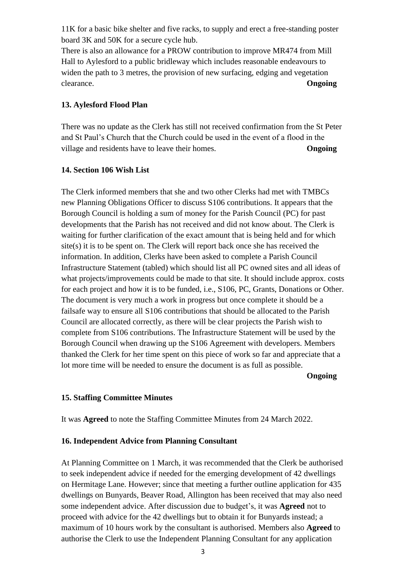11K for a basic bike shelter and five racks, to supply and erect a free-standing poster board 3K and 50K for a secure cycle hub.

There is also an allowance for a PROW contribution to improve MR474 from Mill Hall to Aylesford to a public bridleway which includes reasonable endeavours to widen the path to 3 metres, the provision of new surfacing, edging and vegetation clearance. **Ongoing**

### **13. Aylesford Flood Plan**

There was no update as the Clerk has still not received confirmation from the St Peter and St Paul's Church that the Church could be used in the event of a flood in the village and residents have to leave their homes. **Ongoing**

#### **14. Section 106 Wish List**

The Clerk informed members that she and two other Clerks had met with TMBCs new Planning Obligations Officer to discuss S106 contributions. It appears that the Borough Council is holding a sum of money for the Parish Council (PC) for past developments that the Parish has not received and did not know about. The Clerk is waiting for further clarification of the exact amount that is being held and for which  $site(s)$  it is to be spent on. The Clerk will report back once she has received the information. In addition, Clerks have been asked to complete a Parish Council Infrastructure Statement (tabled) which should list all PC owned sites and all ideas of what projects/improvements could be made to that site. It should include approx. costs for each project and how it is to be funded, i.e., S106, PC, Grants, Donations or Other. The document is very much a work in progress but once complete it should be a failsafe way to ensure all S106 contributions that should be allocated to the Parish Council are allocated correctly, as there will be clear projects the Parish wish to complete from S106 contributions. The Infrastructure Statement will be used by the Borough Council when drawing up the S106 Agreement with developers. Members thanked the Clerk for her time spent on this piece of work so far and appreciate that a lot more time will be needed to ensure the document is as full as possible.

**Ongoing**

## **15. Staffing Committee Minutes**

It was **Agreed** to note the Staffing Committee Minutes from 24 March 2022.

#### **16. Independent Advice from Planning Consultant**

At Planning Committee on 1 March, it was recommended that the Clerk be authorised to seek independent advice if needed for the emerging development of 42 dwellings on Hermitage Lane. However; since that meeting a further outline application for 435 dwellings on Bunyards, Beaver Road, Allington has been received that may also need some independent advice. After discussion due to budget's, it was **Agreed** not to proceed with advice for the 42 dwellings but to obtain it for Bunyards instead; a maximum of 10 hours work by the consultant is authorised. Members also **Agreed** to authorise the Clerk to use the Independent Planning Consultant for any application